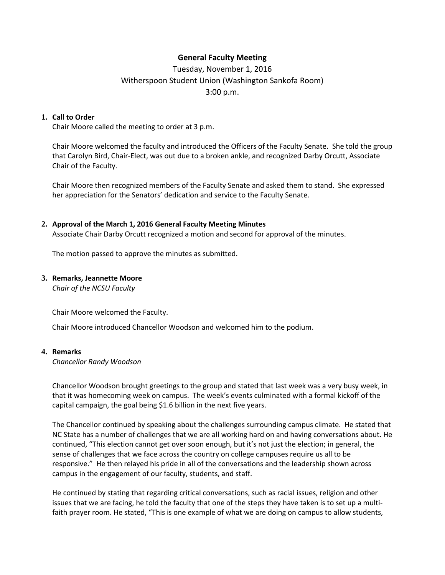## **General Faculty Meeting**

# Tuesday, November 1, 2016 Witherspoon Student Union (Washington Sankofa Room) 3:00 p.m.

#### **1. Call to Order**

Chair Moore called the meeting to order at 3 p.m.

Chair Moore welcomed the faculty and introduced the Officers of the Faculty Senate. She told the group that Carolyn Bird, Chair-Elect, was out due to a broken ankle, and recognized Darby Orcutt, Associate Chair of the Faculty.

Chair Moore then recognized members of the Faculty Senate and asked them to stand. She expressed her appreciation for the Senators' dedication and service to the Faculty Senate.

#### **2. Approval of the March 1, 2016 General Faculty Meeting Minutes**

Associate Chair Darby Orcutt recognized a motion and second for approval of the minutes.

The motion passed to approve the minutes as submitted.

#### **3. Remarks, Jeannette Moore**

*Chair of the NCSU Faculty*

Chair Moore welcomed the Faculty.

Chair Moore introduced Chancellor Woodson and welcomed him to the podium.

#### **4. Remarks**

*Chancellor Randy Woodson*

Chancellor Woodson brought greetings to the group and stated that last week was a very busy week, in that it was homecoming week on campus. The week's events culminated with a formal kickoff of the capital campaign, the goal being \$1.6 billion in the next five years.

The Chancellor continued by speaking about the challenges surrounding campus climate. He stated that NC State has a number of challenges that we are all working hard on and having conversations about. He continued, "This election cannot get over soon enough, but it's not just the election; in general, the sense of challenges that we face across the country on college campuses require us all to be responsive." He then relayed his pride in all of the conversations and the leadership shown across campus in the engagement of our faculty, students, and staff.

He continued by stating that regarding critical conversations, such as racial issues, religion and other issues that we are facing, he told the faculty that one of the steps they have taken is to set up a multifaith prayer room. He stated, "This is one example of what we are doing on campus to allow students,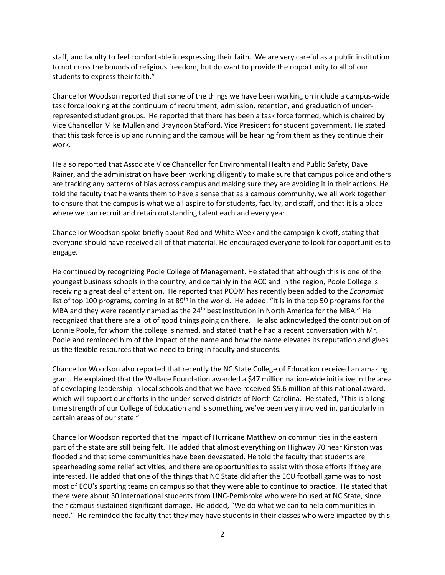staff, and faculty to feel comfortable in expressing their faith. We are very careful as a public institution to not cross the bounds of religious freedom, but do want to provide the opportunity to all of our students to express their faith."

Chancellor Woodson reported that some of the things we have been working on include a campus-wide task force looking at the continuum of recruitment, admission, retention, and graduation of underrepresented student groups. He reported that there has been a task force formed, which is chaired by Vice Chancellor Mike Mullen and Brayndon Stafford, Vice President for student government. He stated that this task force is up and running and the campus will be hearing from them as they continue their work.

He also reported that Associate Vice Chancellor for Environmental Health and Public Safety, Dave Rainer, and the administration have been working diligently to make sure that campus police and others are tracking any patterns of bias across campus and making sure they are avoiding it in their actions. He told the faculty that he wants them to have a sense that as a campus community, we all work together to ensure that the campus is what we all aspire to for students, faculty, and staff, and that it is a place where we can recruit and retain outstanding talent each and every year.

Chancellor Woodson spoke briefly about Red and White Week and the campaign kickoff, stating that everyone should have received all of that material. He encouraged everyone to look for opportunities to engage.

He continued by recognizing Poole College of Management. He stated that although this is one of the youngest business schools in the country, and certainly in the ACC and in the region, Poole College is receiving a great deal of attention. He reported that PCOM has recently been added to the *Economist*  list of top 100 programs, coming in at  $89<sup>th</sup>$  in the world. He added, "It is in the top 50 programs for the MBA and they were recently named as the 24<sup>th</sup> best institution in North America for the MBA." He recognized that there are a lot of good things going on there. He also acknowledged the contribution of Lonnie Poole, for whom the college is named, and stated that he had a recent conversation with Mr. Poole and reminded him of the impact of the name and how the name elevates its reputation and gives us the flexible resources that we need to bring in faculty and students.

Chancellor Woodson also reported that recently the NC State College of Education received an amazing grant. He explained that the Wallace Foundation awarded a \$47 million nation-wide initiative in the area of developing leadership in local schools and that we have received \$5.6 million of this national award, which will support our efforts in the under-served districts of North Carolina. He stated, "This is a longtime strength of our College of Education and is something we've been very involved in, particularly in certain areas of our state."

Chancellor Woodson reported that the impact of Hurricane Matthew on communities in the eastern part of the state are still being felt. He added that almost everything on Highway 70 near Kinston was flooded and that some communities have been devastated. He told the faculty that students are spearheading some relief activities, and there are opportunities to assist with those efforts if they are interested. He added that one of the things that NC State did after the ECU football game was to host most of ECU's sporting teams on campus so that they were able to continue to practice. He stated that there were about 30 international students from UNC-Pembroke who were housed at NC State, since their campus sustained significant damage. He added, "We do what we can to help communities in need." He reminded the faculty that they may have students in their classes who were impacted by this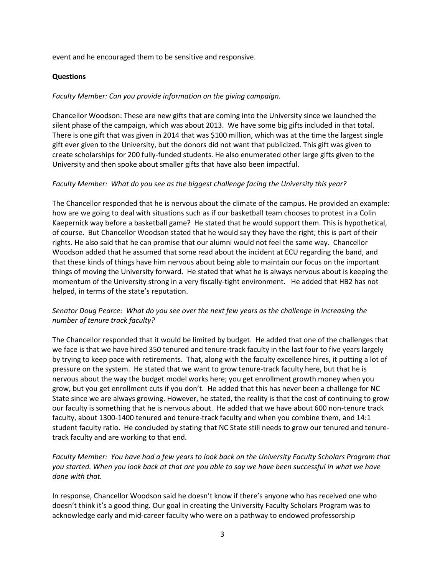event and he encouraged them to be sensitive and responsive.

#### **Questions**

#### *Faculty Member: Can you provide information on the giving campaign.*

Chancellor Woodson: These are new gifts that are coming into the University since we launched the silent phase of the campaign, which was about 2013. We have some big gifts included in that total. There is one gift that was given in 2014 that was \$100 million, which was at the time the largest single gift ever given to the University, but the donors did not want that publicized. This gift was given to create scholarships for 200 fully-funded students. He also enumerated other large gifts given to the University and then spoke about smaller gifts that have also been impactful.

#### *Faculty Member: What do you see as the biggest challenge facing the University this year?*

The Chancellor responded that he is nervous about the climate of the campus. He provided an example: how are we going to deal with situations such as if our basketball team chooses to protest in a Colin Kaepernick way before a basketball game? He stated that he would support them. This is hypothetical, of course. But Chancellor Woodson stated that he would say they have the right; this is part of their rights. He also said that he can promise that our alumni would not feel the same way. Chancellor Woodson added that he assumed that some read about the incident at ECU regarding the band, and that these kinds of things have him nervous about being able to maintain our focus on the important things of moving the University forward. He stated that what he is always nervous about is keeping the momentum of the University strong in a very fiscally-tight environment. He added that HB2 has not helped, in terms of the state's reputation.

### *Senator Doug Pearce: What do you see over the next few years as the challenge in increasing the number of tenure track faculty?*

The Chancellor responded that it would be limited by budget. He added that one of the challenges that we face is that we have hired 350 tenured and tenure-track faculty in the last four to five years largely by trying to keep pace with retirements. That, along with the faculty excellence hires, it putting a lot of pressure on the system. He stated that we want to grow tenure-track faculty here, but that he is nervous about the way the budget model works here; you get enrollment growth money when you grow, but you get enrollment cuts if you don't. He added that this has never been a challenge for NC State since we are always growing. However, he stated, the reality is that the cost of continuing to grow our faculty is something that he is nervous about. He added that we have about 600 non-tenure track faculty, about 1300-1400 tenured and tenure-track faculty and when you combine them, and 14:1 student faculty ratio. He concluded by stating that NC State still needs to grow our tenured and tenuretrack faculty and are working to that end.

### *Faculty Member: You have had a few years to look back on the University Faculty Scholars Program that you started. When you look back at that are you able to say we have been successful in what we have done with that.*

In response, Chancellor Woodson said he doesn't know if there's anyone who has received one who doesn't think it's a good thing. Our goal in creating the University Faculty Scholars Program was to acknowledge early and mid-career faculty who were on a pathway to endowed professorship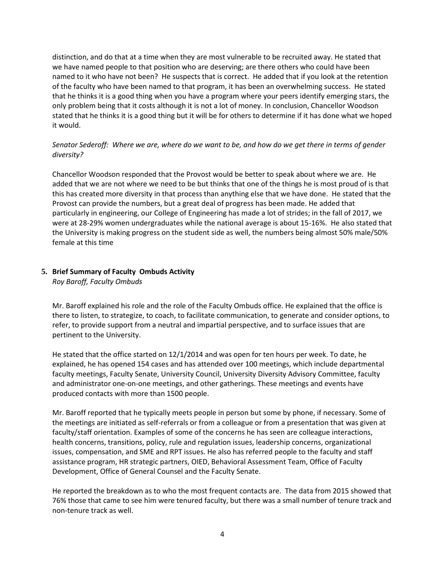distinction, and do that at a time when they are most vulnerable to be recruited away. He stated that we have named people to that position who are deserving; are there others who could have been named to it who have not been? He suspects that is correct. He added that if you look at the retention of the faculty who have been named to that program, it has been an overwhelming success. He stated that he thinks it is a good thing when you have a program where your peers identify emerging stars, the only problem being that it costs although it is not a lot of money. In conclusion, Chancellor Woodson stated that he thinks it is a good thing but it will be for others to determine if it has done what we hoped it would.

## *Senator Sederoff: Where we are, where do we want to be, and how do we get there in terms of gender diversity?*

Chancellor Woodson responded that the Provost would be better to speak about where we are. He added that we are not where we need to be but thinks that one of the things he is most proud of is that this has created more diversity in that process than anything else that we have done. He stated that the Provost can provide the numbers, but a great deal of progress has been made. He added that particularly in engineering, our College of Engineering has made a lot of strides; in the fall of 2017, we were at 28-29% women undergraduates while the national average is about 15-16%. He also stated that the University is making progress on the student side as well, the numbers being almost 50% male/50% female at this time

## **5. Brief Summary of Faculty Ombuds Activity**

*Roy Baroff, Faculty Ombuds*

Mr. Baroff explained his role and the role of the Faculty Ombuds office. He explained that the office is there to listen, to strategize, to coach, to facilitate communication, to generate and consider options, to refer, to provide support from a neutral and impartial perspective, and to surface issues that are pertinent to the University.

He stated that the office started on 12/1/2014 and was open for ten hours per week. To date, he explained, he has opened 154 cases and has attended over 100 meetings, which include departmental faculty meetings, Faculty Senate, University Council, University Diversity Advisory Committee, faculty and administrator one-on-one meetings, and other gatherings. These meetings and events have produced contacts with more than 1500 people.

Mr. Baroff reported that he typically meets people in person but some by phone, if necessary. Some of the meetings are initiated as self-referrals or from a colleague or from a presentation that was given at faculty/staff orientation. Examples of some of the concerns he has seen are colleague interactions, health concerns, transitions, policy, rule and regulation issues, leadership concerns, organizational issues, compensation, and SME and RPT issues. He also has referred people to the faculty and staff assistance program, HR strategic partners, OIED, Behavioral Assessment Team, Office of Faculty Development, Office of General Counsel and the Faculty Senate.

He reported the breakdown as to who the most frequent contacts are. The data from 2015 showed that 76% those that came to see him were tenured faculty, but there was a small number of tenure track and non-tenure track as well.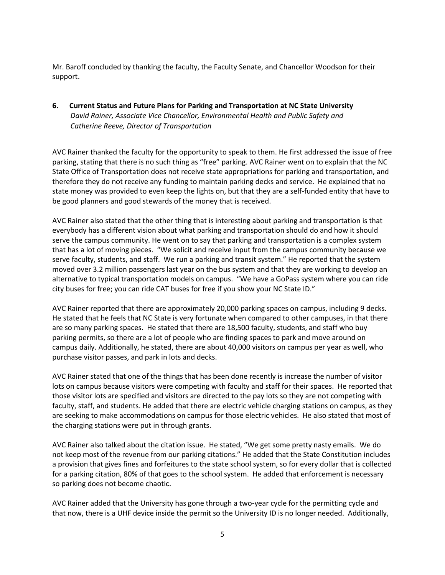Mr. Baroff concluded by thanking the faculty, the Faculty Senate, and Chancellor Woodson for their support.

**6. Current Status and Future Plans for Parking and Transportation at NC State University** *David Rainer, Associate Vice Chancellor, Environmental Health and Public Safety and Catherine Reeve, Director of Transportation*

AVC Rainer thanked the faculty for the opportunity to speak to them. He first addressed the issue of free parking, stating that there is no such thing as "free" parking. AVC Rainer went on to explain that the NC State Office of Transportation does not receive state appropriations for parking and transportation, and therefore they do not receive any funding to maintain parking decks and service. He explained that no state money was provided to even keep the lights on, but that they are a self-funded entity that have to be good planners and good stewards of the money that is received.

AVC Rainer also stated that the other thing that is interesting about parking and transportation is that everybody has a different vision about what parking and transportation should do and how it should serve the campus community. He went on to say that parking and transportation is a complex system that has a lot of moving pieces. "We solicit and receive input from the campus community because we serve faculty, students, and staff. We run a parking and transit system." He reported that the system moved over 3.2 million passengers last year on the bus system and that they are working to develop an alternative to typical transportation models on campus. "We have a GoPass system where you can ride city buses for free; you can ride CAT buses for free if you show your NC State ID."

AVC Rainer reported that there are approximately 20,000 parking spaces on campus, including 9 decks. He stated that he feels that NC State is very fortunate when compared to other campuses, in that there are so many parking spaces. He stated that there are 18,500 faculty, students, and staff who buy parking permits, so there are a lot of people who are finding spaces to park and move around on campus daily. Additionally, he stated, there are about 40,000 visitors on campus per year as well, who purchase visitor passes, and park in lots and decks.

AVC Rainer stated that one of the things that has been done recently is increase the number of visitor lots on campus because visitors were competing with faculty and staff for their spaces. He reported that those visitor lots are specified and visitors are directed to the pay lots so they are not competing with faculty, staff, and students. He added that there are electric vehicle charging stations on campus, as they are seeking to make accommodations on campus for those electric vehicles. He also stated that most of the charging stations were put in through grants.

AVC Rainer also talked about the citation issue. He stated, "We get some pretty nasty emails. We do not keep most of the revenue from our parking citations." He added that the State Constitution includes a provision that gives fines and forfeitures to the state school system, so for every dollar that is collected for a parking citation, 80% of that goes to the school system. He added that enforcement is necessary so parking does not become chaotic.

AVC Rainer added that the University has gone through a two-year cycle for the permitting cycle and that now, there is a UHF device inside the permit so the University ID is no longer needed. Additionally,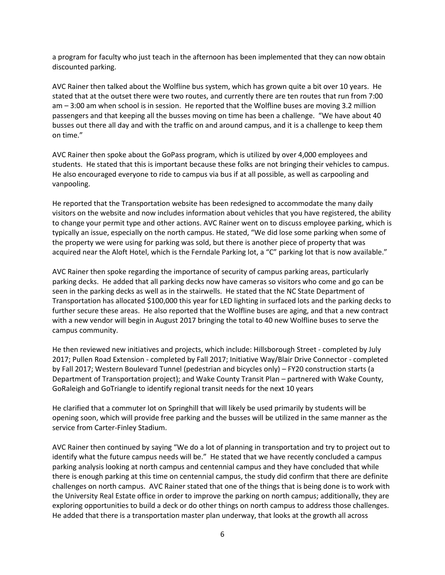a program for faculty who just teach in the afternoon has been implemented that they can now obtain discounted parking.

AVC Rainer then talked about the Wolfline bus system, which has grown quite a bit over 10 years. He stated that at the outset there were two routes, and currently there are ten routes that run from 7:00 am – 3:00 am when school is in session. He reported that the Wolfline buses are moving 3.2 million passengers and that keeping all the busses moving on time has been a challenge. "We have about 40 busses out there all day and with the traffic on and around campus, and it is a challenge to keep them on time."

AVC Rainer then spoke about the GoPass program, which is utilized by over 4,000 employees and students. He stated that this is important because these folks are not bringing their vehicles to campus. He also encouraged everyone to ride to campus via bus if at all possible, as well as carpooling and vanpooling.

He reported that the Transportation website has been redesigned to accommodate the many daily visitors on the website and now includes information about vehicles that you have registered, the ability to change your permit type and other actions. AVC Rainer went on to discuss employee parking, which is typically an issue, especially on the north campus. He stated, "We did lose some parking when some of the property we were using for parking was sold, but there is another piece of property that was acquired near the Aloft Hotel, which is the Ferndale Parking lot, a "C" parking lot that is now available."

AVC Rainer then spoke regarding the importance of security of campus parking areas, particularly parking decks. He added that all parking decks now have cameras so visitors who come and go can be seen in the parking decks as well as in the stairwells. He stated that the NC State Department of Transportation has allocated \$100,000 this year for LED lighting in surfaced lots and the parking decks to further secure these areas. He also reported that the Wolfline buses are aging, and that a new contract with a new vendor will begin in August 2017 bringing the total to 40 new Wolfline buses to serve the campus community.

He then reviewed new initiatives and projects, which include: Hillsborough Street - completed by July 2017; Pullen Road Extension - completed by Fall 2017; Initiative Way/Blair Drive Connector - completed by Fall 2017; Western Boulevard Tunnel (pedestrian and bicycles only) – FY20 construction starts (a Department of Transportation project); and Wake County Transit Plan – partnered with Wake County, GoRaleigh and GoTriangle to identify regional transit needs for the next 10 years

He clarified that a commuter lot on Springhill that will likely be used primarily by students will be opening soon, which will provide free parking and the busses will be utilized in the same manner as the service from Carter-Finley Stadium.

AVC Rainer then continued by saying "We do a lot of planning in transportation and try to project out to identify what the future campus needs will be." He stated that we have recently concluded a campus parking analysis looking at north campus and centennial campus and they have concluded that while there is enough parking at this time on centennial campus, the study did confirm that there are definite challenges on north campus. AVC Rainer stated that one of the things that is being done is to work with the University Real Estate office in order to improve the parking on north campus; additionally, they are exploring opportunities to build a deck or do other things on north campus to address those challenges. He added that there is a transportation master plan underway, that looks at the growth all across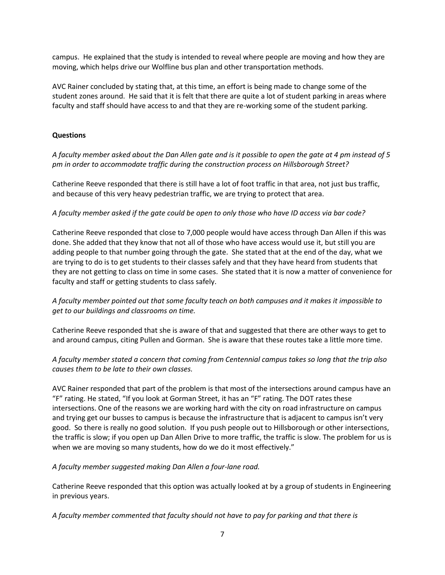campus. He explained that the study is intended to reveal where people are moving and how they are moving, which helps drive our Wolfline bus plan and other transportation methods.

AVC Rainer concluded by stating that, at this time, an effort is being made to change some of the student zones around. He said that it is felt that there are quite a lot of student parking in areas where faculty and staff should have access to and that they are re-working some of the student parking.

#### **Questions**

*A faculty member asked about the Dan Allen gate and is it possible to open the gate at 4 pm instead of 5 pm in order to accommodate traffic during the construction process on Hillsborough Street?*

Catherine Reeve responded that there is still have a lot of foot traffic in that area, not just bus traffic, and because of this very heavy pedestrian traffic, we are trying to protect that area.

### *A faculty member asked if the gate could be open to only those who have ID access via bar code?*

Catherine Reeve responded that close to 7,000 people would have access through Dan Allen if this was done. She added that they know that not all of those who have access would use it, but still you are adding people to that number going through the gate. She stated that at the end of the day, what we are trying to do is to get students to their classes safely and that they have heard from students that they are not getting to class on time in some cases. She stated that it is now a matter of convenience for faculty and staff or getting students to class safely.

*A faculty member pointed out that some faculty teach on both campuses and it makes it impossible to get to our buildings and classrooms on time.*

Catherine Reeve responded that she is aware of that and suggested that there are other ways to get to and around campus, citing Pullen and Gorman. She is aware that these routes take a little more time.

*A faculty member stated a concern that coming from Centennial campus takes so long that the trip also causes them to be late to their own classes.*

AVC Rainer responded that part of the problem is that most of the intersections around campus have an "F" rating. He stated, "If you look at Gorman Street, it has an "F" rating. The DOT rates these intersections. One of the reasons we are working hard with the city on road infrastructure on campus and trying get our busses to campus is because the infrastructure that is adjacent to campus isn't very good. So there is really no good solution. If you push people out to Hillsborough or other intersections, the traffic is slow; if you open up Dan Allen Drive to more traffic, the traffic is slow. The problem for us is when we are moving so many students, how do we do it most effectively."

*A faculty member suggested making Dan Allen a four-lane road.*

Catherine Reeve responded that this option was actually looked at by a group of students in Engineering in previous years.

*A faculty member commented that faculty should not have to pay for parking and that there is*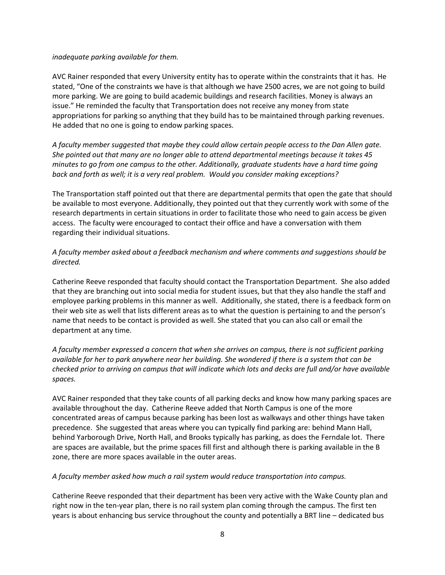#### *inadequate parking available for them.*

AVC Rainer responded that every University entity has to operate within the constraints that it has. He stated, "One of the constraints we have is that although we have 2500 acres, we are not going to build more parking. We are going to build academic buildings and research facilities. Money is always an issue." He reminded the faculty that Transportation does not receive any money from state appropriations for parking so anything that they build has to be maintained through parking revenues. He added that no one is going to endow parking spaces.

*A faculty member suggested that maybe they could allow certain people access to the Dan Allen gate. She pointed out that many are no longer able to attend departmental meetings because it takes 45 minutes to go from one campus to the other. Additionally, graduate students have a hard time going back and forth as well; it is a very real problem. Would you consider making exceptions?*

The Transportation staff pointed out that there are departmental permits that open the gate that should be available to most everyone. Additionally, they pointed out that they currently work with some of the research departments in certain situations in order to facilitate those who need to gain access be given access. The faculty were encouraged to contact their office and have a conversation with them regarding their individual situations.

## *A faculty member asked about a feedback mechanism and where comments and suggestions should be directed.*

Catherine Reeve responded that faculty should contact the Transportation Department. She also added that they are branching out into social media for student issues, but that they also handle the staff and employee parking problems in this manner as well. Additionally, she stated, there is a feedback form on their web site as well that lists different areas as to what the question is pertaining to and the person's name that needs to be contact is provided as well. She stated that you can also call or email the department at any time.

*A faculty member expressed a concern that when she arrives on campus, there is not sufficient parking available for her to park anywhere near her building. She wondered if there is a system that can be checked prior to arriving on campus that will indicate which lots and decks are full and/or have available spaces.* 

AVC Rainer responded that they take counts of all parking decks and know how many parking spaces are available throughout the day. Catherine Reeve added that North Campus is one of the more concentrated areas of campus because parking has been lost as walkways and other things have taken precedence. She suggested that areas where you can typically find parking are: behind Mann Hall, behind Yarborough Drive, North Hall, and Brooks typically has parking, as does the Ferndale lot. There are spaces are available, but the prime spaces fill first and although there is parking available in the B zone, there are more spaces available in the outer areas.

#### *A faculty member asked how much a rail system would reduce transportation into campus.*

Catherine Reeve responded that their department has been very active with the Wake County plan and right now in the ten-year plan, there is no rail system plan coming through the campus. The first ten years is about enhancing bus service throughout the county and potentially a BRT line – dedicated bus